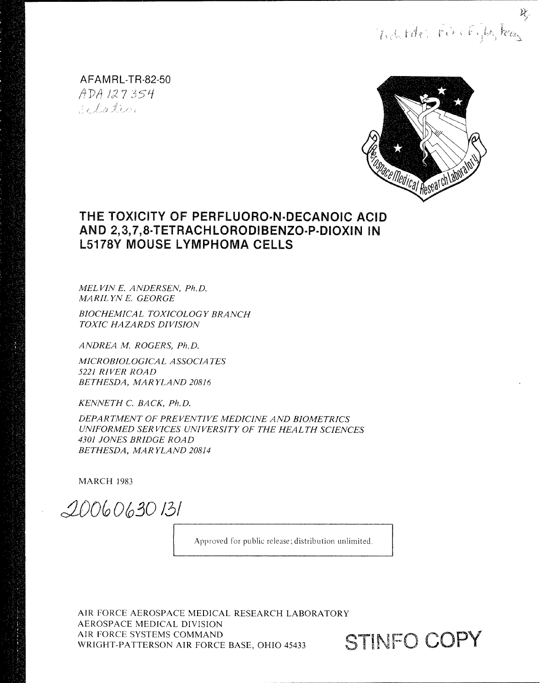nochtdr. Finitifty Fees

AFAMRI-TR-82-50 ADA 127354 Si Kation



# THE TOXICITY OF **PERFLUORO-N-DECANOIC** ACID AND 2,3,7,8-TETRACHLORODIBENZO-P-DIOXIN IN L5178Y MOUSE LYMPHOMA CELLS

*MEL VIN E. ANDERSEN, Ph.D. MARILYNE. GEORGE*

*BIOCHEMICAL TOXICOLOGY BRANCH TOXIC HAZARDS DIVISION*

*ANDREA M. ROGERS, Ph.D.*

*MICROBIOLOGICAL ASSOCIA TES 5221 RIVER ROAD BETHESDA, MARYLAND 20816*

*KENNETH C. BACK, Ph.D.*

*DEPARTTMENT OF PREVENTIVE MEDICINE AND BIOMETRICS UNIFORMED SER VICES UNIVERSITY OF THE HEAL TH SCIENCES 4301 JONES BRIDGE ROAD BETHESDA, MAR YLAND 20814*

MARCH 1983

*OO063o 131*

Approved for public release; distribution unlimited.

AIR FORCE AEROSPACE MEDICAL RESEARCH LABORATORY **AEROSPACE MEDICAL DIVISION** AIR FORCE SYSTEMS COMMAND WRIGHT-PATTERSON AIR FORCE BASE. OHIO 45433 **STINFO COPY** WRIGHT-PATTERSON AIR FORCE BASE, OHIO 45433

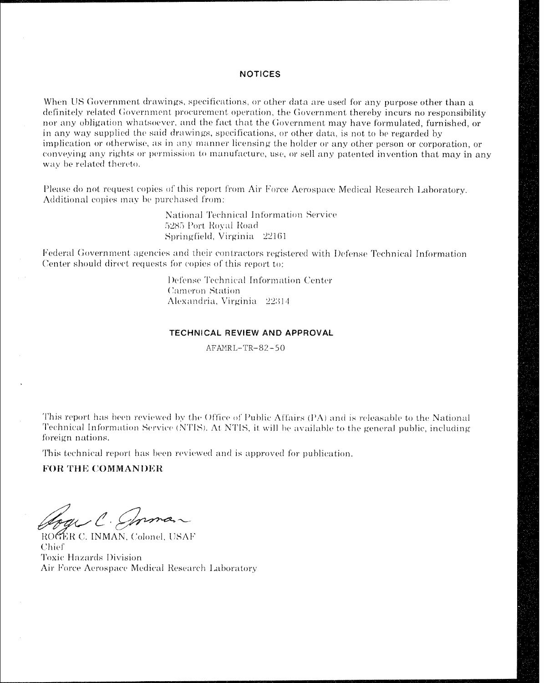### **NOTICES**

When US Government drawings, specifications, or other data are used for any purpose other than a definitely related Government procurement operation, the Government thereby incurs no responsibility nor any obligation whatsoever, and the fact that the Government may have formulated, furnished, or in any way supplied the said drawings, specifications, or other data, is not to be regarded by implication or otherwise, as in any manner licensing the holder or any other person or corporation, or conveving any rights or permission to manufacture, use, or sell any patented invention that may in any way be related thereto.

Please do not request copies of this report from Air Force Aerospace Medical Research Laboratory. Additional copies may be purchased from:

> National Technical Information Service **5285)** Port, **Noyal** Road Springfield, Virginia 22161

If ederal Government agencies and their contractors registered with Defense Technical Information Center should direct requests for copies of this report to:

> Defense Technical Information Center Cameron Station Alexandria, Virginia 22314

#### **TECHNICAL REVIEW AND APPROVAL**

AFAMRL-TR-82-50

**This report has been reviewed by the Office of Public Affairs <b>(PA)** and is releasable to the National Technical Information Service (NTIS). At NTIS, it will be available to the general public, including foreign nations.

This technical report has been reviewed and is approved for publication.

# **FOR THE COMMANDER**

oge C. Sprman

ROGER C. INMAN, Colonel, USAF Chief **Toxic Hazards Division** Air Force Aerospace Medical Research I aboratorvy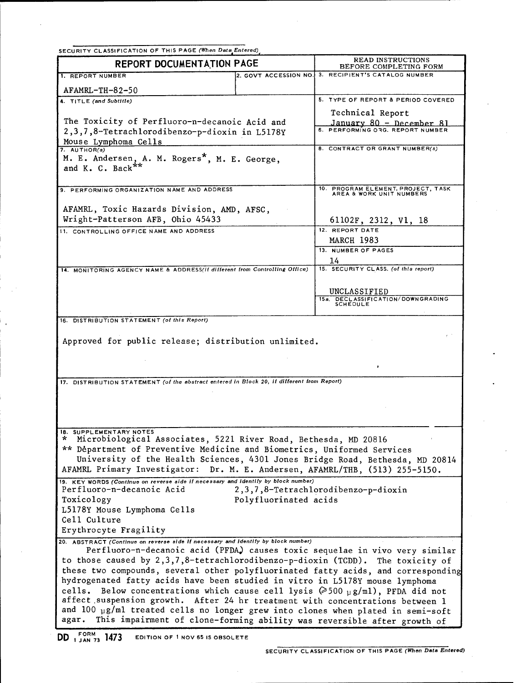|                                                                                                                                                                       | SECURITY CLASSIFICATION OF THIS PAGE (When Data Entered) |                                                                               |  |  |  |  |  |
|-----------------------------------------------------------------------------------------------------------------------------------------------------------------------|----------------------------------------------------------|-------------------------------------------------------------------------------|--|--|--|--|--|
| <b>REPORT DOCUMENTATION PAGE</b>                                                                                                                                      | READ INSTRUCTIONS<br>BEFORE COMPLETING FORM              |                                                                               |  |  |  |  |  |
| 1. REPORT NUMBER                                                                                                                                                      | 2. GOVT ACCESSION NO.                                    | 3. RECIPIENT'S CATALOG NUMBER                                                 |  |  |  |  |  |
| AFAMRL-TH-82-50                                                                                                                                                       |                                                          |                                                                               |  |  |  |  |  |
| 4. TITLE (and Subtitle)                                                                                                                                               |                                                          | 5. TYPE OF REPORT & PERIOD COVERED                                            |  |  |  |  |  |
|                                                                                                                                                                       |                                                          | Technical Report                                                              |  |  |  |  |  |
| The Toxicity of Perfluoro-n-decanoic Acid and                                                                                                                         |                                                          | January 80 - December 81<br>6. PERFORMING 036. REPORT NUMBER                  |  |  |  |  |  |
| 2,3,7,8-Tetrachlorodibenzo-p-dioxin in L5178Y<br>Mouse Lymphoma Cells                                                                                                 |                                                          |                                                                               |  |  |  |  |  |
| $7.$ AUTHOR(s)                                                                                                                                                        |                                                          | 8. CONTRACT OR GRANT NUMBER(s)                                                |  |  |  |  |  |
| M. E. Andersen, A. M. Rogers <sup>*</sup> , M. E. George.<br>and K. C. Back <sup>**</sup>                                                                             |                                                          |                                                                               |  |  |  |  |  |
|                                                                                                                                                                       |                                                          |                                                                               |  |  |  |  |  |
| 9. PERFORMING ORGANIZATION NAME AND ADDRESS                                                                                                                           |                                                          | 10. PROGRAM ELEMENT, PROJECT, TASK<br>AREA & WORK UNIT NUMBERS                |  |  |  |  |  |
|                                                                                                                                                                       |                                                          |                                                                               |  |  |  |  |  |
| AFAMRL, Toxic Hazards Division, AMD, AFSC,                                                                                                                            |                                                          |                                                                               |  |  |  |  |  |
| Wright-Patterson AFB, Ohio 45433                                                                                                                                      |                                                          | 61102F, 2312, V1, 18                                                          |  |  |  |  |  |
| 11. CONTROLLING OFFICE NAME AND ADDRESS                                                                                                                               |                                                          | 12. REPORT DATE                                                               |  |  |  |  |  |
|                                                                                                                                                                       |                                                          | <b>MARCH 1983</b><br>13. NUMBER OF PAGES                                      |  |  |  |  |  |
|                                                                                                                                                                       |                                                          | 14                                                                            |  |  |  |  |  |
| 14. MONITORING AGENCY NAME & ADDRESS(if different from Controlling Office)                                                                                            |                                                          | 15. SECURITY CLASS. (of this report)                                          |  |  |  |  |  |
|                                                                                                                                                                       |                                                          |                                                                               |  |  |  |  |  |
|                                                                                                                                                                       |                                                          | UNCLASSIFIED                                                                  |  |  |  |  |  |
|                                                                                                                                                                       |                                                          | 15a. DECLASSIFICATION/DOWNGRADING<br>SCHEDULE                                 |  |  |  |  |  |
| 16. DISTRIBUTION STATEMENT (of this Report)                                                                                                                           |                                                          |                                                                               |  |  |  |  |  |
| Approved for public release; distribution unlimited.                                                                                                                  |                                                          |                                                                               |  |  |  |  |  |
| 17. DISTRIBUTION STATEMENT (of the abstract entered in Block 20, if different from Report)                                                                            |                                                          |                                                                               |  |  |  |  |  |
|                                                                                                                                                                       |                                                          |                                                                               |  |  |  |  |  |
|                                                                                                                                                                       |                                                          |                                                                               |  |  |  |  |  |
|                                                                                                                                                                       |                                                          |                                                                               |  |  |  |  |  |
| 18. SUPPLEMENTARY NOTES                                                                                                                                               |                                                          |                                                                               |  |  |  |  |  |
| Microbiological Associates, 5221 River Road, Bethesda, MD 20816                                                                                                       |                                                          |                                                                               |  |  |  |  |  |
| ** Départment of Preventive Medicine and Biometrics, Uniformed Services                                                                                               |                                                          |                                                                               |  |  |  |  |  |
|                                                                                                                                                                       |                                                          | University of the Health Sciences, 4301 Jones Bridge Road, Bethesda, MD 20814 |  |  |  |  |  |
|                                                                                                                                                                       |                                                          |                                                                               |  |  |  |  |  |
|                                                                                                                                                                       |                                                          | AFAMRL Primary Investigator: Dr. M. E. Andersen, AFAMRL/THB, (513) 255-5150.  |  |  |  |  |  |
| 19. KEY WORDS (Continue on reverse side if necessary and identify by block number)<br>Perfluoro-n-decanoic Acid                                                       |                                                          |                                                                               |  |  |  |  |  |
| Toxicology                                                                                                                                                            | Polyfluorinated acids                                    | 2,3,7,8-Tetrachlorodibenzo-p-dioxin                                           |  |  |  |  |  |
| L5178Y Mouse Lymphoma Cells                                                                                                                                           |                                                          |                                                                               |  |  |  |  |  |
| Cell Culture                                                                                                                                                          |                                                          |                                                                               |  |  |  |  |  |
| Erythrocyte Fragility                                                                                                                                                 |                                                          |                                                                               |  |  |  |  |  |
| 20. ABSTRACT (Continue on reverse side if necessary and identify by block number)                                                                                     |                                                          |                                                                               |  |  |  |  |  |
|                                                                                                                                                                       |                                                          | Perfluoro-n-decanoic acid (PFDA) causes toxic sequelae in vivo very similar   |  |  |  |  |  |
| to those caused by 2,3,7,8-tetrachlorodibenzo-p-dioxin (TCDD). The toxicity of<br>these two compounds, several other polyfluorinated fatty acids, and corresponding   |                                                          |                                                                               |  |  |  |  |  |
| hydrogenated fatty acids have been studied in vitro in L5178Y mouse lymphoma                                                                                          |                                                          |                                                                               |  |  |  |  |  |
| cells. Below concentrations which cause cell lysis $(2500 \text{ g/ml})$ , PFDA did not                                                                               |                                                          |                                                                               |  |  |  |  |  |
| affect suspension growth. After 24 hr treatment with concentrations between 1<br>and 100 $\mu$ g/ml treated cells no longer grew into clones when plated in semi-soft |                                                          |                                                                               |  |  |  |  |  |

DD 1 JAN 73 1473 DD **1 JAN 73** 1473 **EDITION** OF **I NOV 65 IS OBSOLETE**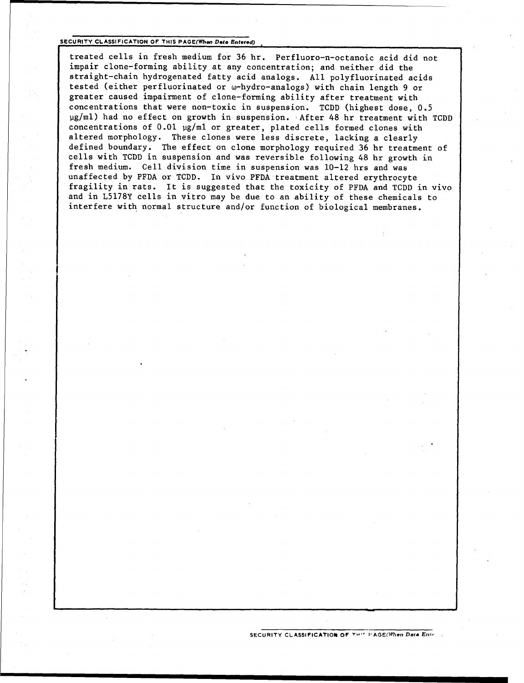#### **SECURITY CLASSIFICATION OF THIS PAGE(When Data Entered)**

treated cells in fresh medium for 36 hr. Perfluoro-n-octanoic acid did not impair clone-forming ability at any concentration; and neither did the straight-chain hydrogenated fatty acid analogs. All polyfluorinated acids tested (either perfluorinated or w-hydro-analogs) with chain length 9 or greater caused impairment of clone-forming ability after treatment with concentrations that were non-toxic in suspension. TCDD (highest dose, 0.5 pg/ml) had no effect on growth in suspension. After 48 hr treatment with TCDD concentrations of 0.01 µg/ml or greater, plated cells formed clones with altered morphology. These clones were less discrete, lacking a clearly defined boundary. The effect on clone morphology required 36 hr treatment of cells with TCDD in suspension and was reversible following 48 hr growth in fresh medium. Cell division time in suspension was 10-12 hrs and was unaffected by PFDA or TCDD. In vivo PFDA treatment altered erythrocyte fragility in rats. It is suggested that the toxicity of PFDA and TCDD in vivo and in L5178Y cells in vitro may be due to an ability of these chemicals to interfere with normal structure and/or function of biological membranes.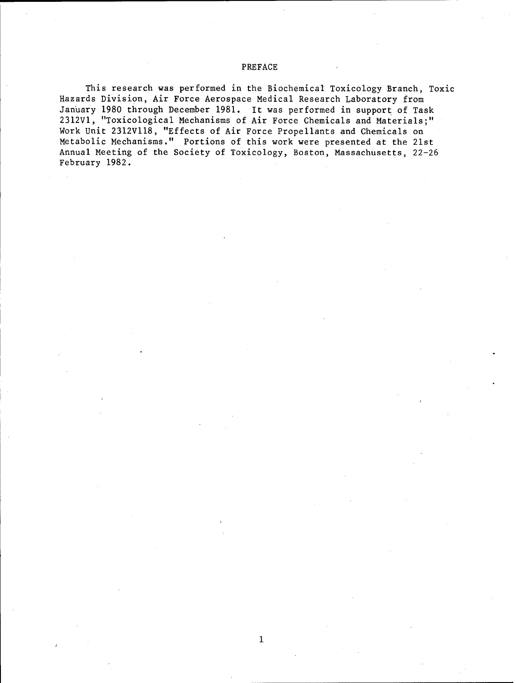# PREFACE

This research was performed in the Biochemical Toxicology Branch, Toxic Hazards Division, Air Force Aerospace Medical Research Laboratory from January 1980 through December 1981. It was performed in support of Task 2312V1, "Toxicological Mechanisms of Air Force Chemicals and Materials;" Work Unit 2312VI18, "Effects of Air Force Propellants and Chemicals on Metabolic Mechanisms." Portions of this work were presented at the 21st Annual Meeting of the Society of Toxicology, Boston, Massachusetts, 22-26 February 1982.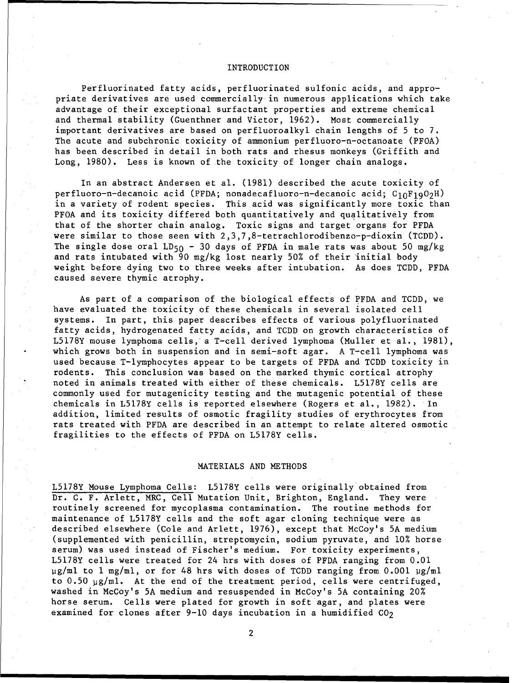#### INTRODUCTION

Perfluorinated fatty acids, perfluorinated sulfonic acids, and appropriate derivatives are used commercially in numerous applications which take advantage of their exceptional surfactant properties and extreme chemical and thermal stability (Guenthner and Victor, 1962). Most commercially important derivatives are based on perfluoroalkyl chain lengths of 5 to 7. The acute and subchronic toxicity of ammonium perfluoro-n-octanoate (PFOA) has been described in detail in both rats and rhesus monkeys (Griffith and Long, 1980). Less is known of the toxicity of longer chain analogs.

In an abstract Andersen et al. (1981) described the acute toxicity of perfluoro-n-decanoic acid (PFDA; nonadecafluoro-n-decanoic acid;  $C_{10}F_{19}O_2H$ ) in a variety of rodent species. This acid was significantly more toxic than PFOA and its toxicity differed both quantitatively and qualitatively from that of the shorter chain analog. Toxic signs and target organs for PFDA were similar to those seen with 2,3,7,8-tetrachlorodibenzo-p-dioxin (TCDD). The single dose oral LD<sub>50</sub> - 30 days of PFDA in male rats was about 50 mg/kg and rats intubated with 90 mg/kg lost nearly 50% of their initial body weight before dying two to three weeks after intubation. As does TCDD, PFDA caused severe thymic atrophy.

As part of a comparison of the biological effects of PFDA and TCDD, we have evaluated the toxicity of these chemicals in several isolated cell systems. In part, this paper describes effects of various polyfluorinated fatty acids, hydrogenated fatty acids, and TCDD on growth characteristics of L5178Y mouse lymphoma cells, a T-cell derived lymphoma (Muller et al., 1981), which grows both in suspension and in semi-soft agar. A T-cell lymphoma was used because T-lymphocytes appear to be targets of PFDA and TCDD toxicity in rodents. This conclusion was based on the marked thymic cortical atrophy noted in animals treated with either of these chemicals. L5178Y cells are commonly used for mutagenicity testing and the mutagenic potential of these chemicals in L5178Y cells is reported elsewhere (Rogers et al., 1982). In addition, limited results of osmotic fragility studies of erythrocytes from rats treated with PFDA are described in an attempt to relate altered osmotic fragilities to the effects of PFDA on L5178Y cells.

#### MATERIALS AND METHODS

L5178Y Mouse Lymphoma Cells: L5178Y cells were originally obtained from Dr. C. F. Arlett, MRC, Cell Mutation Unit, Brighton, England. They were routinely screened for mycoplasma contamination. The routine methods for maintenance of L5178Y cells and the soft agar cloning technique were as described elsewhere (Cole and Arlett, 1976), except that McCoy's 5A medium (supplemented with penicillin, streptomycin, sodium pyruvate, and 10% horse serum) was used instead of Fischer's medium. For toxicity experiments, L5178Y cells were treated for 24 hrs with doses of PFDA ranging from 0.01 µg/ml to 1 mg/ml, or for 48 hrs with doses of TCDD ranging from 0.001 µg/ml to  $0.50 \mu g/ml$ . At the end of the treatment period, cells were centrifuged, washed in McCoy's 5A medium and resuspended in McCoy's 5A containing 20% horse serum. Cells were plated for growth in soft agar, and plates were examined for clones after 9-10 days incubation in a humidified  $CO<sub>2</sub>$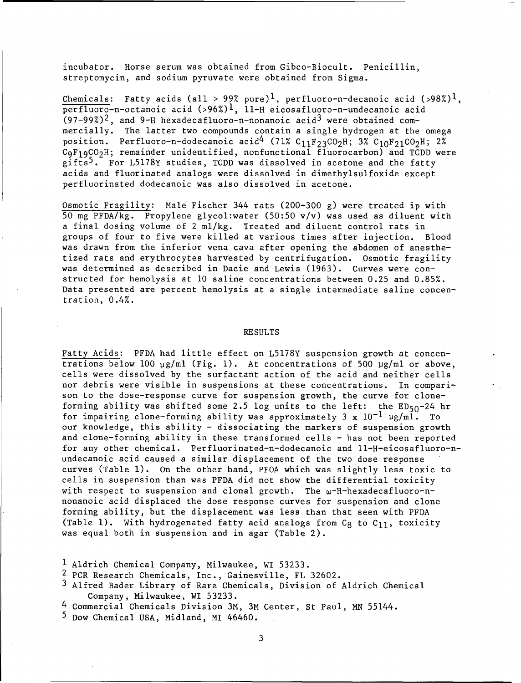incubator. Horse serum was obtained from Gibco-Biocult. Penicillin, streptomycin, and sodium pyruvate were obtained from Sigma.

Chemicals: Fatty acids (all > 99% pure)<sup>1</sup>, perfluoro-n-decanoic acid (>98%)<sup>1</sup>, perfluoro-n-octanoic acid (>96%)l, 11-H eicosafluoro-n-undecanoic acid  $(97-99%)^2$ , and 9-H hexadecafluoro-n-nonanoic acid<sup>3</sup> were obtained commercially. The latter two compounds contain a single hydrogen at the omega position. Perfluoro-n-dodecanoic acid<sup>4</sup> (71% C<sub>11</sub>F<sub>23</sub>CO<sub>2</sub>H; 3% C<sub>10</sub>F<sub>21</sub>CO<sub>2</sub>H; 2%  $C_9F_19CO_2H$ ; remainder unidentified, nonfunctional fluorocarbon) and TCDD were  $g$ ifts<sup>5</sup>. For L5178Y studies, TCDD was dissolved in acetone and the fatty acids and fluorinated analogs were dissolved in dimethylsulfoxide except perfluorinated dodecanoic was also dissolved in acetone.

Osmotic Fragility: Male Fischer 344 rats (200-300 g) were treated ip with 50 mg PFDA/kg. Propylene glycol:water (50:50 v/v) was used as diluent with a final dosing volume of 2 ml/kg. Treated and diluent control rats in groups of four to five were killed at various times after injection. Blood was drawn from the inferior vena cava after opening the abdomen of anesthetized rats and erythrocytes harvested by centrifugation. Osmotic fragility was determined as described in Dacie and Lewis (1963). Curves were constructed for hemolysis at **10** saline concentrations between 0.25 and 0.85%. Data presented are percent hemolysis at a single intermediate saline concentration, 0.4%.

#### RESULTS

Fatty Acids: PFDA had little effect on L5178Y suspension growth at concentrations below **100** pg/ml (Fig. **1).** At concentrations of 500 pg/ml or above, cells were dissolved by the surfactant action of the acid and neither cells nor debris were visible in suspensions at these concentrations. In comparison to the dose-response curve for suspension growth, the curve for cloneforming ability was shifted some 2.5 log units to the left: the  $ED_{50} - 24$  hr for impairing clone-forming ability was approximately 3 x **10-1** Vg/ml. To our knowledge, this ability - dissociating the markers of suspension growth and clone-forming ability in these transformed cells - has not been reported for any other chemical. Perfluorinated-n-dodecanoic and ll-H-eicosafluoro-nundecanoic acid caused a similar displacement of the two dose response curves (Table **1).** On the other hand, PFOA which was slightly less toxic to cells in suspension than was PFDA did not show the differential toxicity with respect to suspension and clonal growth. The  $\omega$ -H-hexadecafluoro-nnonanoic acid displaced the dose response curves for suspension and clone forming ability, but the displacement was less than that seen with PFDA (Table 1). With hydrogenated fatty acid analogs from  $C_8$  to  $C_{11}$ , toxicity was equal both in suspension and in agar (Table 2).

**<sup>1</sup>** Aldrich Chemical Company, Milwaukee, WI 53233.

<sup>&</sup>lt;sup>2</sup> PCR Research Chemicals, Inc., Gainesville, FL 32602.

**<sup>3</sup>**Alfred Bader Library of Rare Chemicals, Division of Aldrich Chemical Company, Milwaukee, WI 53233.

<sup>4</sup> Commercial Chemicals Division 3M, 3M Center, St Paul, MN 55144.

<sup>&</sup>lt;sup>5</sup> Dow Chemical USA, Midland, MI 46460.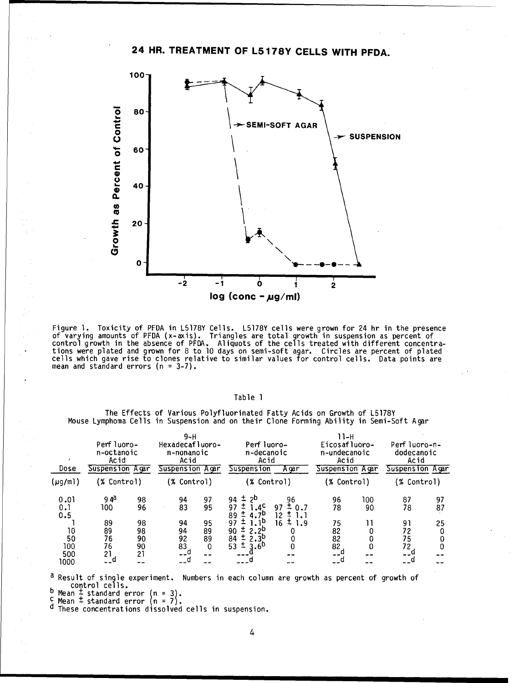# 24 HR. TREATMENT OF L5178Y **CELLS** WITH PFDA.



Figure **1.** Toxicity of PFDA in L5178Y Cells. L5178Y cells were grown for 24 hr in the presence of varying amounts of PFDA (x-axis). Triangles are total growth in suspension as percent of control growth in the absence of PFDA. Aliquots of the cells treated with different concentra- Itions were plated and grown for 8 to **10** days on semi-soft agar. Circles are percent of plated cells which gave rise to clones relative to similar values for control cells. Data points are mean and standard errors (n = 3-7).

### Table **1**

The Effects of Various Polyfluorinated Fatty Acids on Growth of L5178Y Mouse Lymphoma Cells in Suspension and on their Clone Forming Ability in Semi-Soft Agar

| Dose                   | Perf luoro-<br>n-octanoic<br>Acid<br>Suspension Agar |                            | $9-H$<br>Hexadecafluoro-<br>n-nonanoic<br>Acid<br><b>Suspension Agar</b> |                           | Perf luoro-<br>n-decanoic<br>Acid<br>Suspension<br>A gar                      |                       | 11-н<br>Eicosafluoro-<br>n-undecanoic<br>Acid<br>Suspension Agar |           | Perf luoro-n-<br>dodecanoic<br>Acid<br>Suspension Agar |          |
|------------------------|------------------------------------------------------|----------------------------|--------------------------------------------------------------------------|---------------------------|-------------------------------------------------------------------------------|-----------------------|------------------------------------------------------------------|-----------|--------------------------------------------------------|----------|
| (µg/ml)                | (% Control)                                          |                            | (% Control)                                                              |                           | (% Control)                                                                   |                       | (% Control)                                                      |           | (% Control)                                            |          |
| 0.01<br>0.1<br>0.5     | 9 qa<br>100                                          | 98<br>96                   | 94<br>83                                                                 | 97<br>95                  | ±.<br>2 <sup>D</sup><br>94<br>97<br>.4°<br>4.7 <sup>b</sup><br>89             | 96<br>97<br>0.7<br>12 | 96<br>78                                                         | 100<br>90 | 87<br>78                                               | 97<br>87 |
| 10<br>50<br>100<br>500 | 89<br>89<br>76<br>76<br>21                           | 98<br>98<br>90<br>90<br>21 | 94<br>94<br>92<br>83<br>__a                                              | 95<br>89<br>89<br>0<br>-- | 1 D<br>97<br>$2.2^{\circ}$<br>90<br>84<br>2.3 <sup>D</sup><br>53<br>$3.6^{p}$ | ±<br>16<br>1.9<br>0   | 75<br>82<br>82<br>82<br>$-1$ <sup>a</sup>                        | 0         | 91<br>72<br>75<br>72<br>--5                            | 25       |
| 1000                   | - - ¤                                                |                            |                                                                          |                           |                                                                               |                       |                                                                  |           |                                                        |          |

<sup>d</sup> Result of single experiment. Numbers in each column are growth as percent of growth of control cells.<br>  $\frac{b \text{ Mean } \pm \text{ standard error (n = 3)}}{b \text{ Mean } \pm \text{ standard error (n = 3)}}$ 

**C** Mean ± standard error n **= 7).**

d These concentrations dissolved cells in suspension.<br><sup>d</sup> These concentrations dissolved cells in suspension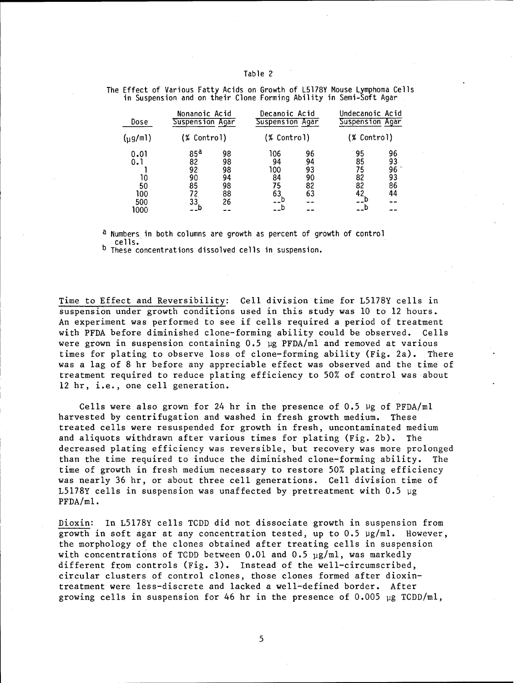#### Table 2

| Dose                                          | Nonanoic Acid<br>Suspension Agar<br>(% Control)      |                                        | Decanoic Acid<br>Suspension Agar    |                                  | Undecanoic Acid<br>Suspension Agar |                                  |
|-----------------------------------------------|------------------------------------------------------|----------------------------------------|-------------------------------------|----------------------------------|------------------------------------|----------------------------------|
| $(\mu$ g/ml)                                  |                                                      |                                        | (% Control)                         |                                  | (% Control)                        |                                  |
| 0.01<br>0.1<br>10<br>50<br>100<br>500<br>1000 | 85 <sup>d</sup><br>82<br>92<br>90<br>85<br>72<br>33. | 98<br>98<br>98<br>94<br>98<br>88<br>26 | 106<br>94<br>100<br>84<br>75<br>63. | 96<br>94<br>93<br>90<br>82<br>63 | 95<br>85<br>75<br>82<br>82<br>42   | 96<br>93<br>96<br>93<br>86<br>44 |

The Effect of Various Fatty Acids on Growth of L5178Y Mouse Lymphoma Cells in Suspension and on their Clone Forming Ability in Semi-Soft Agar

a Numbers in both columns are growth as percent of growth of control cells.

b These concentrations dissolved cells in suspension.

Time to Effect and Reversibility: Cell division time for L5178Y cells in suspension under growth conditions used in this study was **10** to 12 hours. An experiment was performed to see if cells required a period of treatment with PFDA before diminished clone-forming ability could be observed. Cells were grown in suspension containing  $0.5$  µg PFDA/ml and removed at various times for plating to observe loss of clone-forming ability (Fig. 2a). There was a lag of 8 hr before any appreciable effect was observed and the time of treatment required to reduce plating efficiency to 50% of control was about 12 hr, i.e., one cell generation.

Cells were also grown for 24 hr in the presence of 0.5 **11g** of PFDA/ml harvested by centrifugation and washed in fresh growth medium. These treated cells were resuspended for growth in fresh, uncontaminated medium and aliquots withdrawn after various times for plating (Fig. 2b). The decreased plating efficiency was reversible, but recovery was more prolonged than the time required to induce the diminished clone-forming ability. The time of growth in fresh medium necessary to restore 50% plating efficiency was nearly 36 hr, or about three cell generations. Cell division time of L5178Y cells in suspension was unaffected by pretreatment with 0.5 **1ig** PFDA/ml.

Dioxin: In L5178Y cells TCDD did not dissociate growth in suspension from growth in soft agar at any concentration tested, up to  $0.5 \, \mu g/ml$ . However, the morphology of the clones obtained after treating cells in suspension with concentrations of TCDD between 0.01 and 0.5  $\mu$ g/ml, was markedly different from controls (Fig. 3). Instead of the well-circumscribed, circular clusters of control clones, those clones formed after dioxintreatment were less-discrete and lacked a well-defined border. After growing cells in suspension for 46 hr in the presence of 0.005 **pg** TCDD/ml,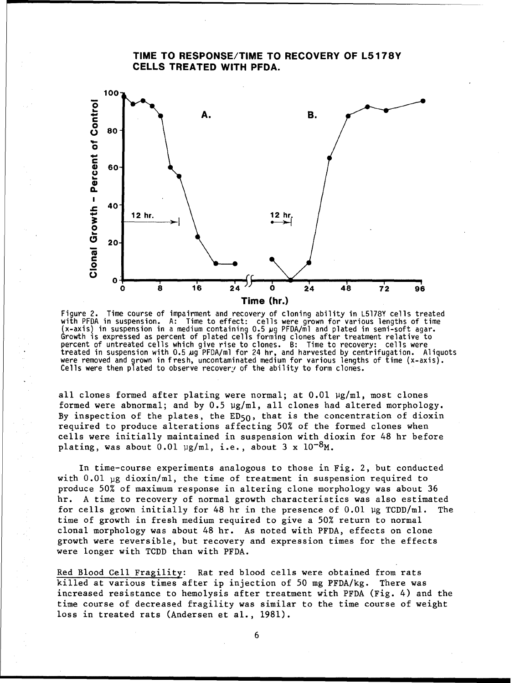# TIME TO **RESPONSE/TIME** TO RECOVERY OF **L5178Y CELLS** TREATED WITH PFDA. **100 A.** B. **<sup>0</sup> <sup>80</sup> 0 C 4) 60** • 40 12 hr. 12 hr.  $\frac{1}{2}$ 20- **C 0 0 0 16 24 0 24 48 7'2 9** Time (hr.)

Figure 2. Time course of impairment and recovery of cloning ability in L5178Y cells treated with PFDA in suspension. A: Time to effect: cells were grown for various lengths of time (x-axis) in suspension in a medium containing 0.5 jug PFDA/ml and plated in semi-soft agar. Growth is expressed as percent of plated cells forming clones after treatment relative to Growth is expressed as percent of plated cells forming clones after treatment relative to<br>percent of untreated cells which give rise to clones. B: Time to recovery: cells were<br>treated in suspension with 0.5 ug PFDA/ml for Cells were then plated to observe recovery of the ability to form clones.

all clones formed after plating were normal; at  $0.01 \mu g/ml$ , most clones formed were abnormal; and by  $0.5 \mu g/ml$ , all clones had altered morphology. By inspection of the plates, the  $ED50$ , that is the concentration of dioxin required to produce alterations affecting 50% of the formed clones when cells were initially maintained in suspension with dioxin for 48 hr before plating, was about  $0.01 \text{ pg/ml}$ , i.e., about 3 x  $10^{-8}$ M.

In time-course experiments analogous to those in Fig. 2, but conducted with 0.01 **pg** dioxin/ml, the time of treatment in suspension required to produce 50% of maximum response in altering clone morphology was about 36 hr. A time to recovery of normal growth characteristics was also estimated for cells grown initially for 48 hr in the presence of  $0.01$  µg TCDD/ml. The time of growth in fresh medium required to give a 50% return to normal clonal morphology was about 48 hr. As noted with PFDA, effects on clone growth were reversible, but recovery and expression times for the effects were longer with TCDD than with PFDA.

Red Blood Cell Fragility: Rat red blood cells were obtained from rats killed at various times after ip injection of 50 mg PFDA/kg. There was increased resistance to hemolysis after treatment with PFDA (Fig. 4) and the time course of decreased fragility was similar to the time course of weight loss in treated rats (Andersen et al., 1981).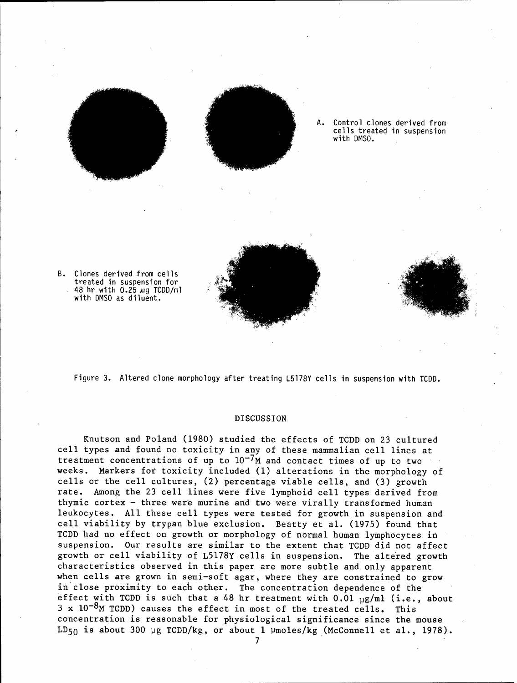



Control clones derived from cells treated in suspension with DMSO.

B. Clones derived from cells treated in suspension for 48 hr with 0.25 ug TCDD/ml with DMSO as diluent.



#### DISCUSSION

Knutson and Poland (1980) studied the effects of TCDD on 23 cultured cell types and found no toxicity in any of these mammalian cell lines at treatment concentrations of up to  $10^{-7}$ M and contact times of up to two weeks. Markers for toxicity included **(1)** alterations in the morphology of cells or the cell cultures, (2) percentage viable cells, and (3) growth rate. Among the 23 cell lines were five lymphoid cell types derived from thymic cortex - three were murine and two were virally transformed human leukocytes. All these cell types were tested for growth in suspension and cell viability by trypan blue exclusion. Beatty et al. (1975) found that TCDD had no effect on growth or morphology of normal human lymphocytes in suspension. Our results are similar to the extent that TCDD did not affect growth or cell viability of L5178Y cells in suspension. The altered growth characteristics observed in this paper are more subtle and only apparent when cells are grown in semi-soft agar, where they are constrained to grow in close proximity to each other. The concentration dependence of the effect with TCDD is such that a 48 hr treatment with  $0.01 \text{ g/ml}$  (i.e., about  $3 \times 10^{-8}$ M TCDD) causes the effect in most of the treated cells. This concentration is reasonable for physiological significance since the mouse LD<sub>50</sub> is about 300 µg TCDD/kg, or about 1 µmoles/kg (McConnell et al., 1978).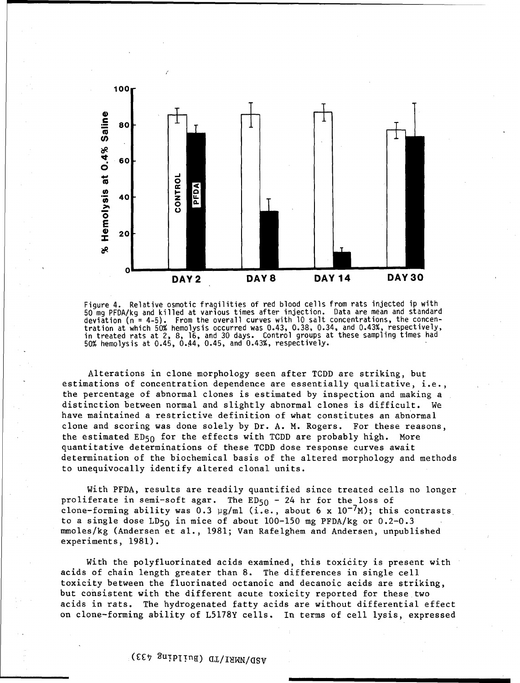

Figure 4. Relative osmotic fragilities of red blood cells from rats injected ip with 50 mg PFDA/kg and killed at various times after injection. Data are mean and standard deviation (n = 4-5). From the overall curves with **10** salt concentrations, the concentration at which 50% hemolysis occurred was 0.43, 0.38, 0.34, and 0.43%, respectively, in treated rats at 2, 8, 16, and 30 days. Control groups at these sampling times had 50% hemolysis at 0.45, 0.44, 0.45, and 0.43%, respectively.

Alterations in clone morphology seen after TCDD are striking, but estimations of concentration dependence are essentially qualitative, i.e., the percentage of abnormal clones is estimated by inspection and making a distinction between normal and slightly abnormal clones is difficult. We have maintained a restrictive definition of what constitutes an abnormal clone and scoring was done solely by Dr. A. M. Rogers. For these reasons, the estimated  $ED_{50}$  for the effects with TCDD are probably high. More quantitative determinations of these TCDD dose response curves await determination of the biochemical basis of the altered morphology and methods to unequivocally identify altered clonal units.

With PFDA, results are readily quantified since treated cells no longer proliferate in semi-soft agar. The ED<sub>50</sub> - 24 hr for the loss of clone-forming ability was  $0.3 \text{ µg/ml}$  (i.e., about 6 x  $10^{-7}$ M); this contrasts to a single dose LD<sub>50</sub> in mice of about  $100-150$  mg PFDA/kg or  $0.2-0.3$ mmoles/kg (Andersen et al., 1981; Van Rafelghem and Andersen, unpublished experiments, 1981).

With the polyfluorinated acids examined, this toxicity is present with acids of chain length greater than 8. The differences in single cell toxicity between the fluorinated octanoic and decanoic acids are striking, but consistent with the different acute toxicity reported for these two acids in rats. The hydrogenated fatty acids are without differential effect on clone-forming ability of L5178Y cells. In terms of cell lysis, expressed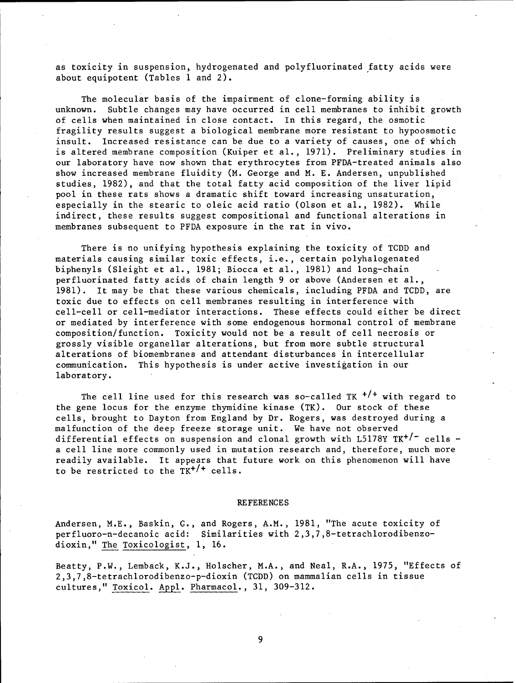as toxicity in suspension, hydrogenated and polyfluorinated fatty acids were about equipotent (Tables **1** and 2).

The molecular basis of the impairment of clone-forming ability is unknown. Subtle changes may have occurred in cell membranes to inhibit growth of cells when maintained in close contact. In this regard, the osmotic fragility results suggest a biological membrane more resistant to hypoosmotic insult. Increased resistance can be due to a variety of causes, one of which is altered membrane composition (Kuiper et al., 1971). Preliminary studies in our laboratory have now shown that erythrocytes from PFDA-treated animals also show increased membrane fluidity (M. George and M. E. Andersen, unpublished studies, 1982), and that the total fatty acid composition of the liver lipid pool in these rats shows a dramatic shift toward increasing unsaturation, especially in the stearic to oleic acid ratio (Olson et al., 1982). While indirect, these results suggest compositional and functional alterations in membranes subsequent to PFDA exposure in the rat in vivo.

There is no unifying hypothesis explaining the toxicity of TCDD and materials causing similar toxic effects, i.e., certain polyhalogenated biphenyls (Sleight et al., 1981; Biocca et al., 1981) and long-chain perfluorinated fatty acids of chain length 9 or above (Andersen et al., 1981). It may be that these various chemicals, including PFDA and TCDD, are toxic due to effects on cell membranes resulting in interference with cell-cell or cell-mediator interactions. These effects could either be direct or mediated by interference with some endogenous hormonal control of membrane composition/function. Toxicity would not be a result of cell necrosis or grossly visible organellar alterations, but from more subtle structural alterations of biomembranes and attendant disturbances in intercellular communication. This hypothesis is under active investigation in our laboratory.

The cell line used for this research was so-called TK *+/+* with regard to the gene locus for the enzyme thymidine kinase (TK). Our stock of these cells, brought to Dayton from England by Dr. Rogers, was destroyed during a malfunction of the deep freeze storage unit. We have not observed differential effects on suspension and clonal growth with  $L5178Y$  TK<sup>+/-</sup> cells a cell line more commonly used in mutation research and, therefore, much more readily available. It appears that future work on this phenomenon will have to be restricted to the  $TK^{+/+}$  cells.

#### REFERENCES

Andersen, M.E., Baskin, G., and Rogers, A.M., 1981, "The acute toxicity of perfluoro-n-decanoic acid: Similarities with 2,3,7,8-tetrachlorodibenzodioxin," The Toxicologist, **1,** 16.

Beatty, P.W., Lemback, K.J., Holscher, M.A., and Neal, R.A., 1975, "Effects of 2,3,7,8-tetrachlorodibenzo-p-dioxin (TCDD) on mammalian cells in tissue cultures," Toxicol. **Appl.** Pharmacol., 31, 309-312.